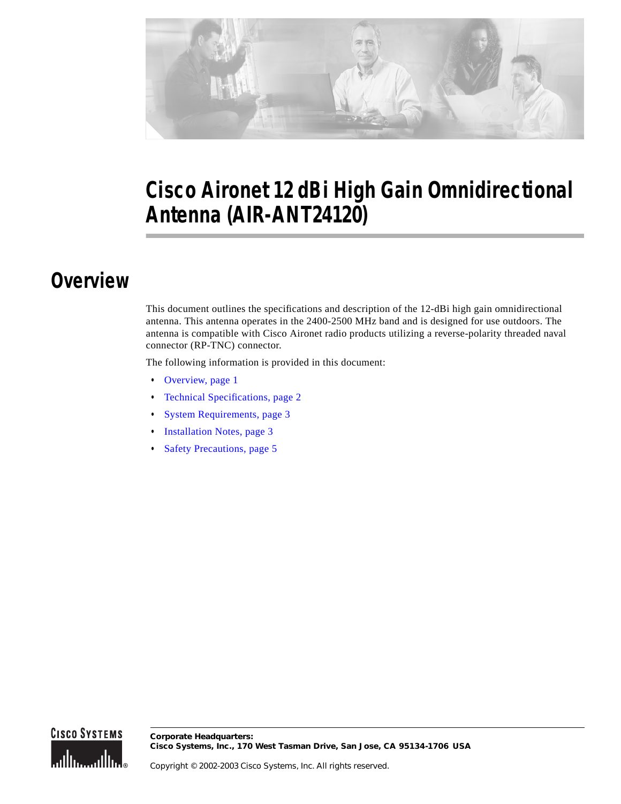

# **Cisco Aironet 12 dBi High Gain Omnidirectional Antenna (AIR-ANT24120)**

## <span id="page-0-0"></span>**Overview**

This document outlines the specifications and description of the 12-dBi high gain omnidirectional antenna. This antenna operates in the 2400-2500 MHz band and is designed for use outdoors. The antenna is compatible with Cisco Aironet radio products utilizing a reverse-polarity threaded naval connector (RP-TNC) connector.

The following information is provided in this document:

- **•** [Overview, page 1](#page-0-0)
- **•** [Technical Specifications, page 2](#page-1-0)
- **•** [System Requirements, page 3](#page-2-0)
- **•** [Installation Notes, page 3](#page-2-1)
- **•** [Safety Precautions, page 5](#page-4-0)

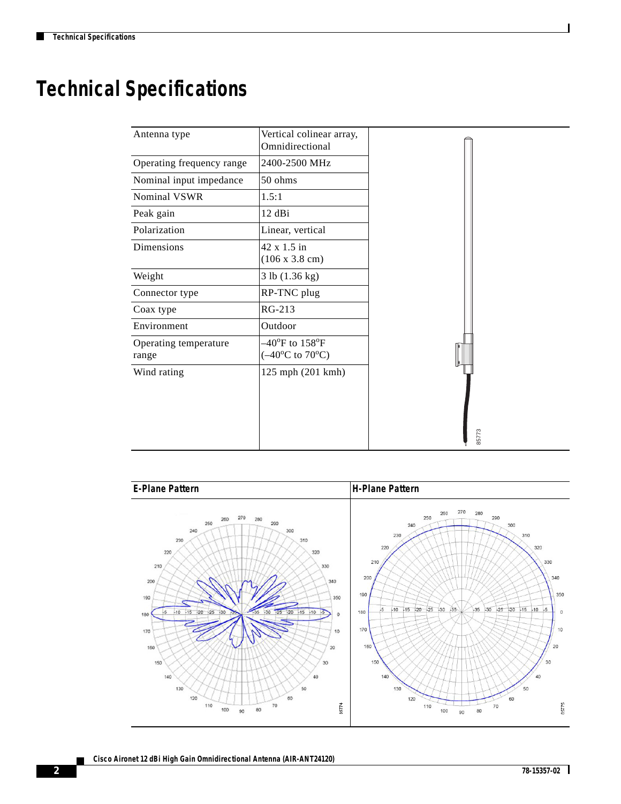H

# <span id="page-1-0"></span>**Technical Specifications**

| Antenna type                   | Vertical colinear array,<br>Omnidirectional                                    |       |
|--------------------------------|--------------------------------------------------------------------------------|-------|
| Operating frequency range      | 2400-2500 MHz                                                                  |       |
| Nominal input impedance        | 50 ohms                                                                        |       |
| Nominal VSWR                   | 1.5:1                                                                          |       |
| $12$ dBi<br>Peak gain          |                                                                                |       |
| Polarization                   | Linear, vertical                                                               |       |
| Dimensions                     | 42 x 1.5 in<br>(106 x 3.8 cm)                                                  |       |
| Weight                         | 3 lb (1.36 kg)                                                                 |       |
| Connector type                 | RP-TNC plug                                                                    |       |
| Coax type                      | RG-213                                                                         |       |
| Environment                    | Outdoor                                                                        |       |
| Operating temperature<br>range | $-40^{\circ}$ F to $158^{\circ}$ F<br>$(-40^{\circ}C \text{ to } 70^{\circ}C)$ |       |
| Wind rating                    | 125 mph (201 kmh)                                                              |       |
|                                |                                                                                |       |
|                                |                                                                                | 85773 |

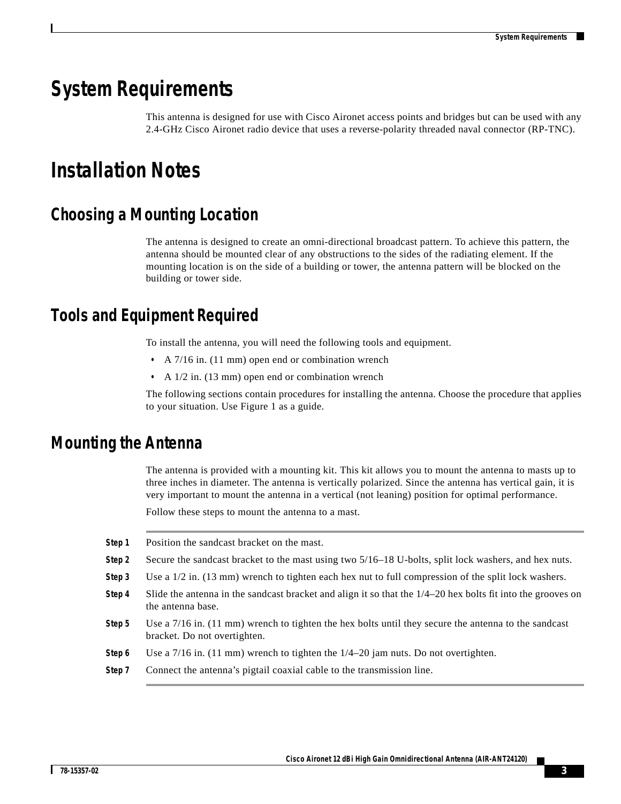### <span id="page-2-0"></span>**System Requirements**

This antenna is designed for use with Cisco Aironet access points and bridges but can be used with any 2.4-GHz Cisco Aironet radio device that uses a reverse-polarity threaded naval connector (RP-TNC).

## <span id="page-2-1"></span>**Installation Notes**

### **Choosing a Mounting Location**

The antenna is designed to create an omni-directional broadcast pattern. To achieve this pattern, the antenna should be mounted clear of any obstructions to the sides of the radiating element. If the mounting location is on the side of a building or tower, the antenna pattern will be blocked on the building or tower side.

### **Tools and Equipment Required**

To install the antenna, you will need the following tools and equipment.

- **•** A 7/16 in. (11 mm) open end or combination wrench
- **•** A 1/2 in. (13 mm) open end or combination wrench

The following sections contain procedures for installing the antenna. Choose the procedure that applies to your situation. Use Figure 1 as a guide.

#### **Mounting the Antenna**

The antenna is provided with a mounting kit. This kit allows you to mount the antenna to masts up to three inches in diameter. The antenna is vertically polarized. Since the antenna has vertical gain, it is very important to mount the antenna in a vertical (not leaning) position for optimal performance.

Follow these steps to mount the antenna to a mast.

| Step 1 | Position the sandcast bracket on the mast.                                                                                             |
|--------|----------------------------------------------------------------------------------------------------------------------------------------|
| Step 2 | Secure the sandcast bracket to the mast using two 5/16–18 U-bolts, split lock washers, and hex nuts.                                   |
| Step 3 | Use a $1/2$ in. (13 mm) wrench to tighten each hex nut to full compression of the split lock washers.                                  |
| Step 4 | Slide the antenna in the sandcast bracket and align it so that the $1/4-20$ hex bolts fit into the grooves on<br>the antenna base.     |
| Step 5 | Use a $7/16$ in. (11 mm) wrench to tighten the hex bolts until they secure the antenna to the sandcast<br>bracket. Do not overtighten. |
| Step 6 | Use a $7/16$ in. (11 mm) wrench to tighten the $1/4-20$ jam nuts. Do not overtighten.                                                  |
| Step 7 | Connect the antenna's pigtail coaxial cable to the transmission line.                                                                  |
|        |                                                                                                                                        |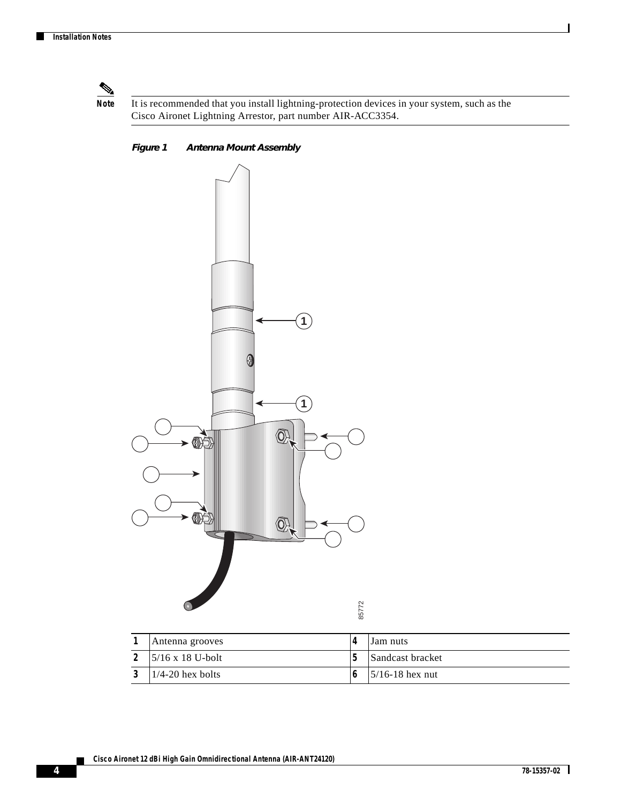

**Note** It is recommended that you install lightning-protection devices in your system, such as the Cisco Aironet Lightning Arrestor, part number AIR-ACC3354.

*Figure 1 Antenna Mount Assembly*



| Antenna grooves          | Lam nuts                   |
|--------------------------|----------------------------|
| $15/16 \times 18$ U-bolt | Sandcast bracket           |
| $1/4-20$ hex bolts       | $\frac{5}{16}$ -18 hex nut |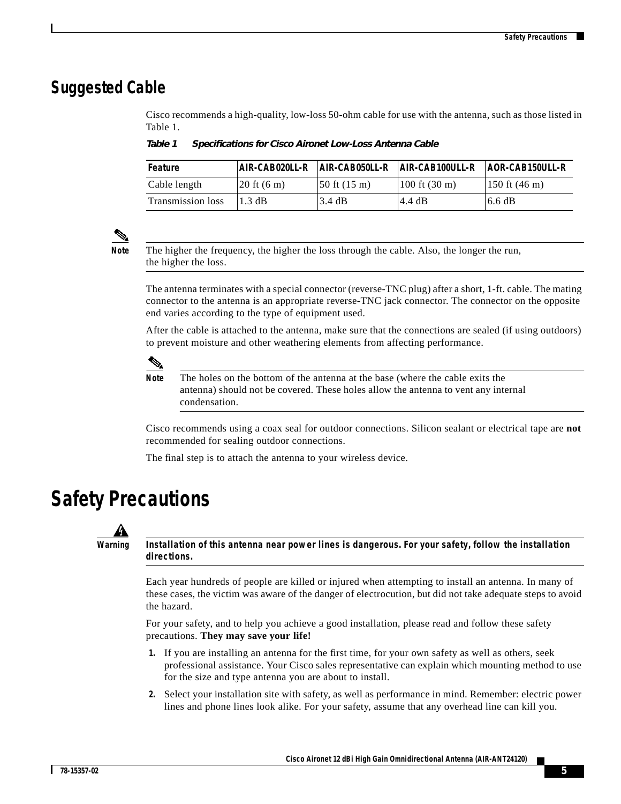#### **Suggested Cable**

Cisco recommends a high-quality, low-loss 50-ohm cable for use with the antenna, such as those listed in Table 1.

*Table 1 Specifications for Cisco Aironet Low-Loss Antenna Cable*

| Feature           | AIR-CAB020LL-R                 | $AR-CAB050LL-R$                 | AIR-CAB100ULL-R                 | $ AOR-CAB150ULL-R$ |
|-------------------|--------------------------------|---------------------------------|---------------------------------|--------------------|
| Cable length      | $ 20 \text{ ft} (6 \text{ m})$ | $ 50 \text{ ft} (15 \text{ m})$ | $100 \text{ ft} (30 \text{ m})$ | $150$ ft (46 m)    |
| Transmission loss | $1.3 \text{ dB}$               | 3.4 dB                          | 4.4 dB                          | 6.6 dB             |



**Note** The higher the frequency, the higher the loss through the cable. Also, the longer the run, the higher the loss.

The antenna terminates with a special connector (reverse-TNC plug) after a short, 1-ft. cable. The mating connector to the antenna is an appropriate reverse-TNC jack connector. The connector on the opposite end varies according to the type of equipment used.

After the cable is attached to the antenna, make sure that the connections are sealed (if using outdoors) to prevent moisture and other weathering elements from affecting performance.



**Note** The holes on the bottom of the antenna at the base (where the cable exits the antenna) should not be covered. These holes allow the antenna to vent any internal condensation.

Cisco recommends using a coax seal for outdoor connections. Silicon sealant or electrical tape are **not** recommended for sealing outdoor connections.

The final step is to attach the antenna to your wireless device.

### <span id="page-4-0"></span>**Safety Precautions**



**Warning Installation of this antenna near power lines is dangerous. For your safety, follow the installation directions.**

> Each year hundreds of people are killed or injured when attempting to install an antenna. In many of these cases, the victim was aware of the danger of electrocution, but did not take adequate steps to avoid the hazard.

For your safety, and to help you achieve a good installation, please read and follow these safety precautions. **They may save your life!**

- **1.** If you are installing an antenna for the first time, for your own safety as well as others, seek professional assistance. Your Cisco sales representative can explain which mounting method to use for the size and type antenna you are about to install.
- **2.** Select your installation site with safety, as well as performance in mind. Remember: electric power lines and phone lines look alike. For your safety, assume that any overhead line can kill you.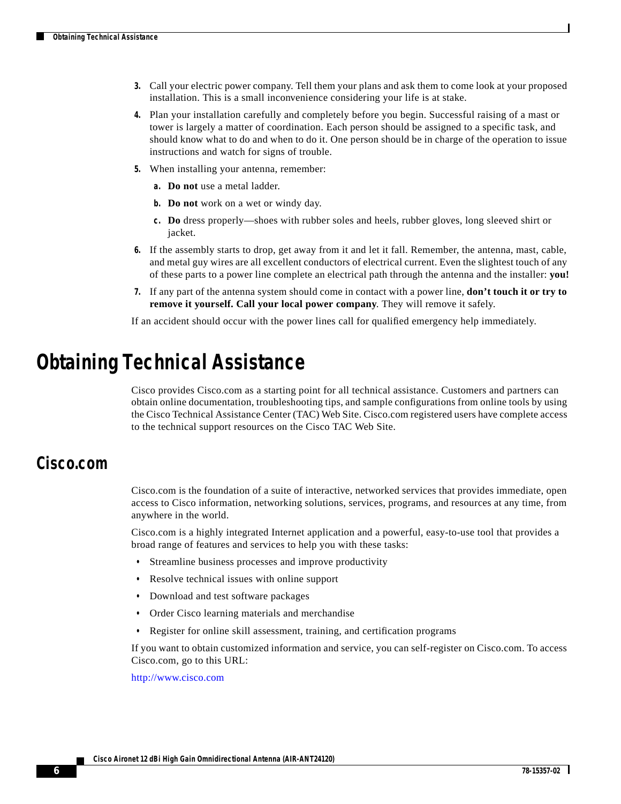- **3.** Call your electric power company. Tell them your plans and ask them to come look at your proposed installation. This is a small inconvenience considering your life is at stake.
- **4.** Plan your installation carefully and completely before you begin. Successful raising of a mast or tower is largely a matter of coordination. Each person should be assigned to a specific task, and should know what to do and when to do it. One person should be in charge of the operation to issue instructions and watch for signs of trouble.
- **5.** When installing your antenna, remember:
	- **a. Do not** use a metal ladder.
	- **b. Do not** work on a wet or windy day.
	- **c. Do** dress properly—shoes with rubber soles and heels, rubber gloves, long sleeved shirt or jacket.
- **6.** If the assembly starts to drop, get away from it and let it fall. Remember, the antenna, mast, cable, and metal guy wires are all excellent conductors of electrical current. Even the slightest touch of any of these parts to a power line complete an electrical path through the antenna and the installer: **you!**
- **7.** If any part of the antenna system should come in contact with a power line, **don't touch it or try to remove it yourself. Call your local power company**. They will remove it safely.

If an accident should occur with the power lines call for qualified emergency help immediately.

### **Obtaining Technical Assistance**

Cisco provides Cisco.com as a starting point for all technical assistance. Customers and partners can obtain online documentation, troubleshooting tips, and sample configurations from online tools by using the Cisco Technical Assistance Center (TAC) Web Site. Cisco.com registered users have complete access to the technical support resources on the Cisco TAC Web Site.

#### **Cisco.com**

Cisco.com is the foundation of a suite of interactive, networked services that provides immediate, open access to Cisco information, networking solutions, services, programs, and resources at any time, from anywhere in the world.

Cisco.com is a highly integrated Internet application and a powerful, easy-to-use tool that provides a broad range of features and services to help you with these tasks:

- **•** Streamline business processes and improve productivity
- **•** Resolve technical issues with online support
- **•** Download and test software packages
- **•** Order Cisco learning materials and merchandise
- **•** Register for online skill assessment, training, and certification programs

If you want to obtain customized information and service, you can self-register on Cisco.com. To access Cisco.com, go to this URL:

<http://www.cisco.com>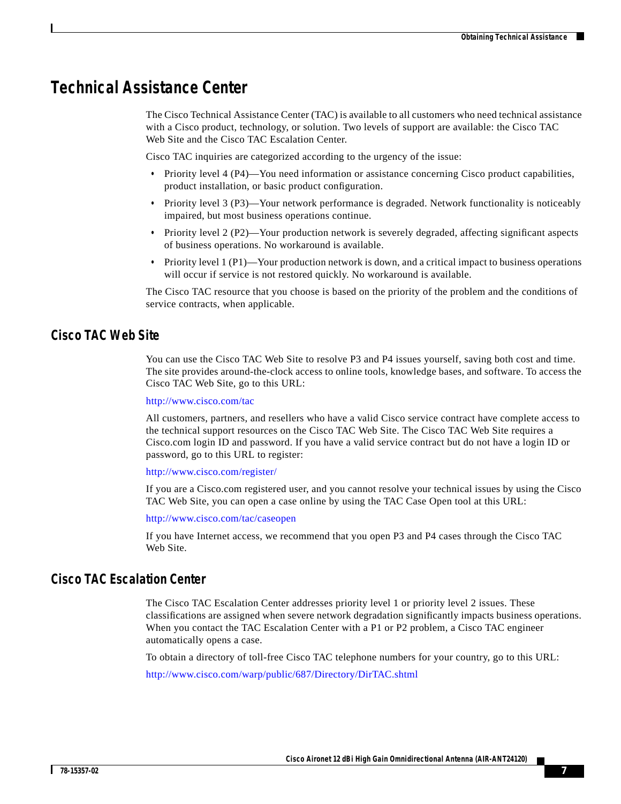#### **Technical Assistance Center**

The Cisco Technical Assistance Center (TAC) is available to all customers who need technical assistance with a Cisco product, technology, or solution. Two levels of support are available: the Cisco TAC Web Site and the Cisco TAC Escalation Center.

Cisco TAC inquiries are categorized according to the urgency of the issue:

- Priority level 4 (P4)—You need information or assistance concerning Cisco product capabilities, product installation, or basic product configuration.
- **•** Priority level 3 (P3)—Your network performance is degraded. Network functionality is noticeably impaired, but most business operations continue.
- **•** Priority level 2 (P2)—Your production network is severely degraded, affecting significant aspects of business operations. No workaround is available.
- **•** Priority level 1 (P1)—Your production network is down, and a critical impact to business operations will occur if service is not restored quickly. No workaround is available.

The Cisco TAC resource that you choose is based on the priority of the problem and the conditions of service contracts, when applicable.

#### **Cisco TAC Web Site**

You can use the Cisco TAC Web Site to resolve P3 and P4 issues yourself, saving both cost and time. The site provides around-the-clock access to online tools, knowledge bases, and software. To access the Cisco TAC Web Site, go to this URL:

<http://www.cisco.com/tac>

All customers, partners, and resellers who have a valid Cisco service contract have complete access to the technical support resources on the Cisco TAC Web Site. The Cisco TAC Web Site requires a Cisco.com login ID and password. If you have a valid service contract but do not have a login ID or password, go to this URL to register:

<http://www.cisco.com/register/>

If you are a Cisco.com registered user, and you cannot resolve your technical issues by using the Cisco TAC Web Site, you can open a case online by using the TAC Case Open tool at this URL:

<http://www.cisco.com/tac/caseopen>

If you have Internet access, we recommend that you open P3 and P4 cases through the Cisco TAC Web Site.

#### **Cisco TAC Escalation Center**

The Cisco TAC Escalation Center addresses priority level 1 or priority level 2 issues. These classifications are assigned when severe network degradation significantly impacts business operations. When you contact the TAC Escalation Center with a P1 or P2 problem, a Cisco TAC engineer automatically opens a case.

To obtain a directory of toll-free Cisco TAC telephone numbers for your country, go to this URL:

<http://www.cisco.com/warp/public/687/Directory/DirTAC.shtml>